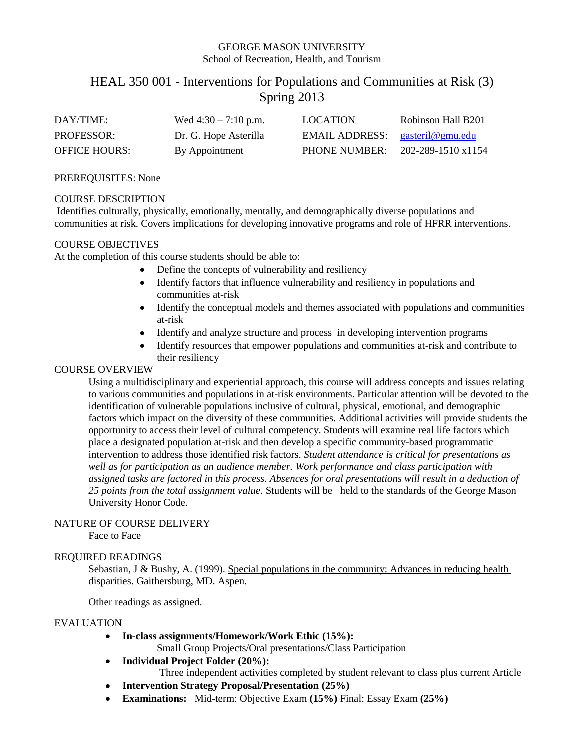## GEORGE MASON UNIVERSITY School of Recreation, Health, and Tourism

# HEAL 350 001 - Interventions for Populations and Communities at Risk (3) Spring 2013

| DAY/TIME:            | Wed $4:30 - 7:10$ p.m. | <b>LOCATION</b>                   | Robinson Hall B201 |
|----------------------|------------------------|-----------------------------------|--------------------|
| <b>PROFESSOR:</b>    | Dr. G. Hope Asterilla  | EMAIL ADDRESS: $gasteril@gmu.edu$ |                    |
| <b>OFFICE HOURS:</b> | By Appointment         | <b>PHONE NUMBER:</b>              | 202-289-1510 x1154 |

#### PREREQUISITES: None

#### COURSE DESCRIPTION

Identifies culturally, physically, emotionally, mentally, and demographically diverse populations and communities at risk. Covers implications for developing innovative programs and role of HFRR interventions.

#### COURSE OBJECTIVES

At the completion of this course students should be able to:

- Define the concepts of vulnerability and resiliency
- Identify factors that influence vulnerability and resiliency in populations and communities at-risk
- Identify the conceptual models and themes associated with populations and communities at-risk
- Identify and analyze structure and process in developing intervention programs
- Identify resources that empower populations and communities at-risk and contribute to their resiliency

#### COURSE OVERVIEW

Using a multidisciplinary and experiential approach, this course will address concepts and issues relating to various communities and populations in at-risk environments. Particular attention will be devoted to the identification of vulnerable populations inclusive of cultural, physical, emotional, and demographic factors which impact on the diversity of these communities. Additional activities will provide students the opportunity to access their level of cultural competency. Students will examine real life factors which place a designated population at-risk and then develop a specific community-based programmatic intervention to address those identified risk factors. *Student attendance is critical for presentations as well as for participation as an audience member. Work performance and class participation with assigned tasks are factored in this process. Absences for oral presentations will result in a deduction of 25 points from the total assignment value.* Students will be held to the standards of the George Mason University Honor Code.

#### NATURE OF COURSE DELIVERY

Face to Face

## REQUIRED READINGS

Sebastian, J & Bushy, A. (1999). Special populations in the community: Advances in reducing health disparities. Gaithersburg, MD. Aspen.

Other readings as assigned.

#### EVALUATION

**In-class assignments/Homework/Work Ethic (15%):**

Small Group Projects/Oral presentations/Class Participation

**Individual Project Folder (20%):**

Three independent activities completed by student relevant to class plus current Article

- $\bullet$ **Intervention Strategy Proposal/Presentation (25%)**
- **Examinations:** Mid-term: Objective Exam **(15%)** Final: Essay Exam **(25%)**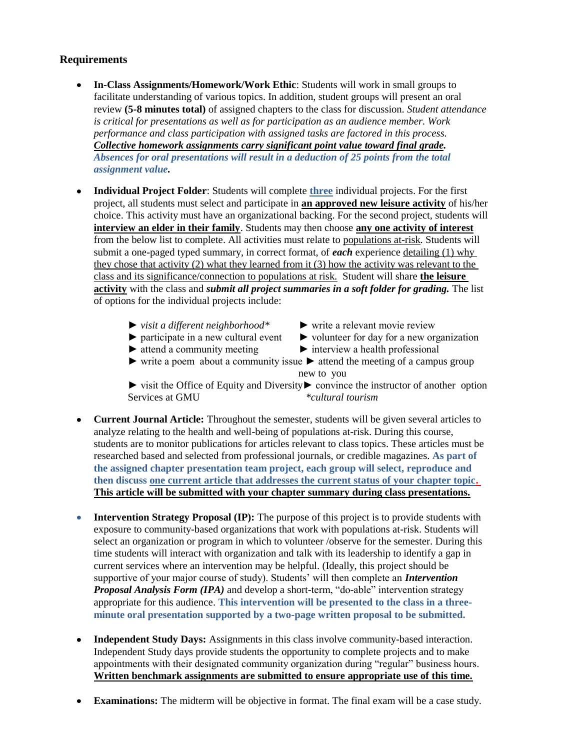## **Requirements**

- **In-Class Assignments/Homework/Work Ethic**: Students will work in small groups to facilitate understanding of various topics. In addition, student groups will present an oral review **(5-8 minutes total)** of assigned chapters to the class for discussion. *Student attendance is critical for presentations as well as for participation as an audience member. Work performance and class participation with assigned tasks are factored in this process. Collective homework assignments carry significant point value toward final grade. Absences for oral presentations will result in a deduction of 25 points from the total assignment value.*
- **Individual Project Folder**: Students will complete **three** individual projects. For the first project, all students must select and participate in **an approved new leisure activity** of his/her choice. This activity must have an organizational backing. For the second project, students will **interview an elder in their family**. Students may then choose **any one activity of interest** from the below list to complete. All activities must relate to populations at-risk. Students will submit a one-paged typed summary, in correct format, of *each* experience detailing (1) why they chose that activity (2) what they learned from it (3) how the activity was relevant to the class and its significance/connection to populations at risk. Student will share **the leisure activity** with the class and *submit all project summaries in a soft folder for grading.* The list of options for the individual projects include:
	- ► *visit a different neighborhood\** ► write a relevant movie review
		-
- 
- ► participate in a new cultural event ► volunteer for day for a new organization
- ► attend a community meeting ► interview a health professional
	-
- $\triangleright$  write a poem about a community issue  $\triangleright$  attend the meeting of a campus group new to you

► visit the Office of Equity and Diversity► convince the instructor of another option Services at GMU *\*cultural tourism*

- **Current Journal Article:** Throughout the semester, students will be given several articles to analyze relating to the health and well-being of populations at-risk. During this course, students are to monitor publications for articles relevant to class topics. These articles must be researched based and selected from professional journals, or credible magazines. **As part of the assigned chapter presentation team project, each group will select, reproduce and then discuss one current article that addresses the current status of your chapter topic. This article will be submitted with your chapter summary during class presentations.**
- **Intervention Strategy Proposal (IP):** The purpose of this project is to provide students with  $\bullet$ exposure to community-based organizations that work with populations at-risk. Students will select an organization or program in which to volunteer /observe for the semester. During this time students will interact with organization and talk with its leadership to identify a gap in current services where an intervention may be helpful. (Ideally, this project should be supportive of your major course of study). Students' will then complete an *Intervention Proposal Analysis Form (IPA)* and develop a short-term, "do-able" intervention strategy appropriate for this audience. **This intervention will be presented to the class in a threeminute oral presentation supported by a two-page written proposal to be submitted.**
- **Independent Study Days:** Assignments in this class involve community-based interaction. Independent Study days provide students the opportunity to complete projects and to make appointments with their designated community organization during "regular" business hours. **Written benchmark assignments are submitted to ensure appropriate use of this time.**
- **Examinations:** The midterm will be objective in format. The final exam will be a case study.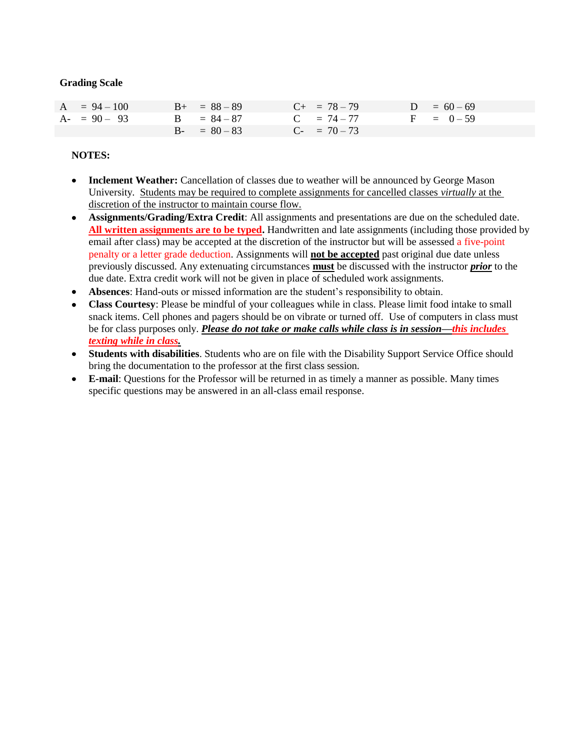#### **Grading Scale**

| $A = 94 - 100$ | $B_{+} = 88 - 89$ | $C_{+}$ = 78 - 79 | $D = 60 - 69$ |
|----------------|-------------------|-------------------|---------------|
| $A - 90 - 93$  | $B = 84 - 87$     | $C = 74 - 77$     | $F = 0-59$    |
|                | $B - = 80 - 83$   | $C- = 70-73$      |               |

#### **NOTES:**

- **Inclement Weather:** Cancellation of classes due to weather will be announced by George Mason  $\bullet$ University. Students may be required to complete assignments for cancelled classes *virtually* at the discretion of the instructor to maintain course flow.
- **Assignments/Grading/Extra Credit**: All assignments and presentations are due on the scheduled date. **All written assignments are to be typed.** Handwritten and late assignments (including those provided by email after class) may be accepted at the discretion of the instructor but will be assessed a five-point penalty or a letter grade deduction. Assignments will **not be accepted** past original due date unless previously discussed. Any extenuating circumstances **must** be discussed with the instructor *prior* to the due date. Extra credit work will not be given in place of scheduled work assignments.
- **Absences**: Hand-outs or missed information are the student's responsibility to obtain.
- $\bullet$ **Class Courtesy**: Please be mindful of your colleagues while in class. Please limit food intake to small snack items. Cell phones and pagers should be on vibrate or turned off. Use of computers in class must be for class purposes only. *Please do not take or make calls while class is in session—this includes texting while in class.*
- **Students with disabilities**. Students who are on file with the Disability Support Service Office should bring the documentation to the professor at the first class session.
- **E-mail**: Questions for the Professor will be returned in as timely a manner as possible. Many times  $\bullet$ specific questions may be answered in an all-class email response.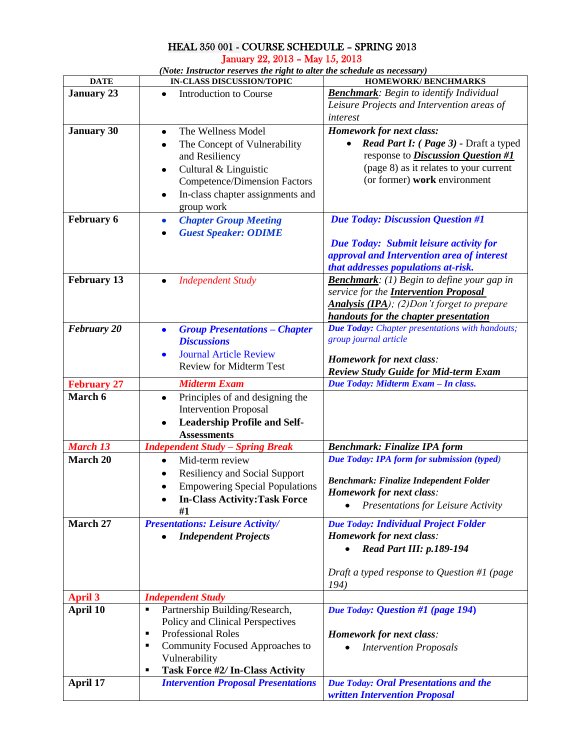## HEAL 350 001 - COURSE SCHEDULE – SPRING 2013 January 22, 2013 – May 15, 2013

*(Note: Instructor reserves the right to alter the schedule as necessary)*

| <b>DATE</b>        | <b>IN-CLASS DISCUSSION/TOPIC</b>                  | HOMEWORK/BENCHMARKS                                    |  |
|--------------------|---------------------------------------------------|--------------------------------------------------------|--|
| <b>January 23</b>  | <b>Introduction to Course</b><br>٠                | <b>Benchmark:</b> Begin to identify Individual         |  |
|                    |                                                   | Leisure Projects and Intervention areas of             |  |
|                    |                                                   | interest                                               |  |
| <b>January 30</b>  | The Wellness Model<br>$\bullet$                   | <b>Homework for next class:</b>                        |  |
|                    | The Concept of Vulnerability<br>٠                 | Read Part I: (Page 3) - Draft a typed                  |  |
|                    | and Resiliency                                    | response to <i>Discussion Question</i> #1              |  |
|                    | Cultural & Linguistic<br>٠                        | (page 8) as it relates to your current                 |  |
|                    | <b>Competence/Dimension Factors</b>               | (or former) work environment                           |  |
|                    | In-class chapter assignments and<br>٠             |                                                        |  |
|                    | group work                                        |                                                        |  |
| <b>February 6</b>  | <b>Chapter Group Meeting</b><br>٠                 | <b>Due Today: Discussion Question #1</b>               |  |
|                    | <b>Guest Speaker: ODIME</b><br>$\bullet$          |                                                        |  |
|                    |                                                   | Due Today: Submit leisure activity for                 |  |
|                    |                                                   | approval and Intervention area of interest             |  |
|                    |                                                   | that addresses populations at-risk.                    |  |
| <b>February 13</b> | <b>Independent Study</b><br>$\bullet$             | <b>Benchmark</b> : (1) Begin to define your gap in     |  |
|                    |                                                   | service for the <b>Intervention Proposal</b>           |  |
|                    |                                                   | Analysis (IPA); (2)Don't forget to prepare             |  |
|                    |                                                   | handouts for the chapter presentation                  |  |
| <b>February 20</b> | <b>Group Presentations – Chapter</b><br>$\bullet$ | <b>Due Today:</b> Chapter presentations with handouts; |  |
|                    | <b>Discussions</b>                                | group journal article                                  |  |
|                    | <b>Journal Article Review</b><br>$\bullet$        |                                                        |  |
|                    | <b>Review for Midterm Test</b>                    | <b>Homework for next class:</b>                        |  |
|                    |                                                   | <b>Review Study Guide for Mid-term Exam</b>            |  |
| <b>February 27</b> | <b>Midterm Exam</b>                               | Due Today: Midterm Exam - In class.                    |  |
| March 6            | Principles of and designing the<br>٠              |                                                        |  |
|                    | <b>Intervention Proposal</b>                      |                                                        |  |
|                    | <b>Leadership Profile and Self-</b>               |                                                        |  |
|                    | <b>Assessments</b>                                |                                                        |  |
| <b>March 13</b>    | <b>Independent Study - Spring Break</b>           | <b>Benchmark: Finalize IPA form</b>                    |  |
| <b>March 20</b>    | Mid-term review<br>$\bullet$                      | Due Today: IPA form for submission (typed)             |  |
|                    | <b>Resiliency and Social Support</b>              |                                                        |  |
|                    | <b>Empowering Special Populations</b>             | <b>Benchmark: Finalize Independent Folder</b>          |  |
|                    | <b>In-Class Activity: Task Force</b>              | <b>Homework for next class:</b>                        |  |
|                    | #1                                                | Presentations for Leisure Activity                     |  |
| March 27           | <b>Presentations: Leisure Activity/</b>           | <b>Due Today: Individual Project Folder</b>            |  |
|                    | <b>Independent Projects</b>                       | <b>Homework for next class:</b>                        |  |
|                    |                                                   | <b>Read Part III: p.189-194</b>                        |  |
|                    |                                                   |                                                        |  |
|                    |                                                   | Draft a typed response to Question #1 (page            |  |
|                    |                                                   | 194)                                                   |  |
| <b>April 3</b>     | <b>Independent Study</b>                          |                                                        |  |
| April 10           | Partnership Building/Research,<br>٠               | Due Today: Question #1 (page 194)                      |  |
|                    | Policy and Clinical Perspectives                  |                                                        |  |
|                    | Professional Roles<br>п                           | <b>Homework for next class:</b>                        |  |
|                    | Community Focused Approaches to<br>п              | <b>Intervention Proposals</b>                          |  |
|                    | Vulnerability                                     |                                                        |  |
|                    | Task Force #2/ In-Class Activity<br>٠             |                                                        |  |
| April 17           | <b>Intervention Proposal Presentations</b>        | <b>Due Today: Oral Presentations and the</b>           |  |
|                    |                                                   | written Intervention Proposal                          |  |